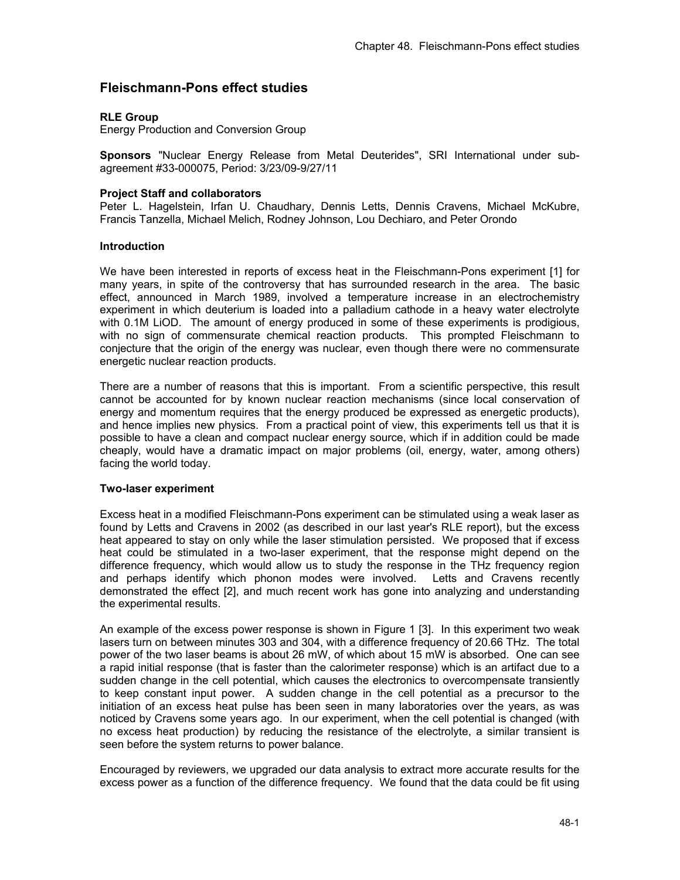# **Fleischmann-Pons effect studies**

# **RLE Group**

Energy Production and Conversion Group

**Sponsors** "Nuclear Energy Release from Metal Deuterides", SRI International under subagreement #33-000075, Period: 3/23/09-9/27/11

### **Project Staff and collaborators**

Peter L. Hagelstein, Irfan U. Chaudhary, Dennis Letts, Dennis Cravens, Michael McKubre, Francis Tanzella, Michael Melich, Rodney Johnson, Lou Dechiaro, and Peter Orondo

#### **Introduction**

We have been interested in reports of excess heat in the Fleischmann-Pons experiment [1] for many years, in spite of the controversy that has surrounded research in the area. The basic effect, announced in March 1989, involved a temperature increase in an electrochemistry experiment in which deuterium is loaded into a palladium cathode in a heavy water electrolyte with 0.1M LiOD. The amount of energy produced in some of these experiments is prodigious, with no sign of commensurate chemical reaction products. This prompted Fleischmann to conjecture that the origin of the energy was nuclear, even though there were no commensurate energetic nuclear reaction products.

There are a number of reasons that this is important. From a scientific perspective, this result cannot be accounted for by known nuclear reaction mechanisms (since local conservation of energy and momentum requires that the energy produced be expressed as energetic products), and hence implies new physics. From a practical point of view, this experiments tell us that it is possible to have a clean and compact nuclear energy source, which if in addition could be made cheaply, would have a dramatic impact on major problems (oil, energy, water, among others) facing the world today.

#### **Two-laser experiment**

Excess heat in a modified Fleischmann-Pons experiment can be stimulated using a weak laser as found by Letts and Cravens in 2002 (as described in our last year's RLE report), but the excess heat appeared to stay on only while the laser stimulation persisted. We proposed that if excess heat could be stimulated in a two-laser experiment, that the response might depend on the difference frequency, which would allow us to study the response in the THz frequency region and perhaps identify which phonon modes were involved. Letts and Cravens recently demonstrated the effect [2], and much recent work has gone into analyzing and understanding the experimental results.

An example of the excess power response is shown in Figure 1 [3]. In this experiment two weak lasers turn on between minutes 303 and 304, with a difference frequency of 20.66 THz. The total power of the two laser beams is about 26 mW, of which about 15 mW is absorbed. One can see a rapid initial response (that is faster than the calorimeter response) which is an artifact due to a sudden change in the cell potential, which causes the electronics to overcompensate transiently to keep constant input power. A sudden change in the cell potential as a precursor to the initiation of an excess heat pulse has been seen in many laboratories over the years, as was noticed by Cravens some years ago. In our experiment, when the cell potential is changed (with no excess heat production) by reducing the resistance of the electrolyte, a similar transient is seen before the system returns to power balance.

Encouraged by reviewers, we upgraded our data analysis to extract more accurate results for the excess power as a function of the difference frequency. We found that the data could be fit using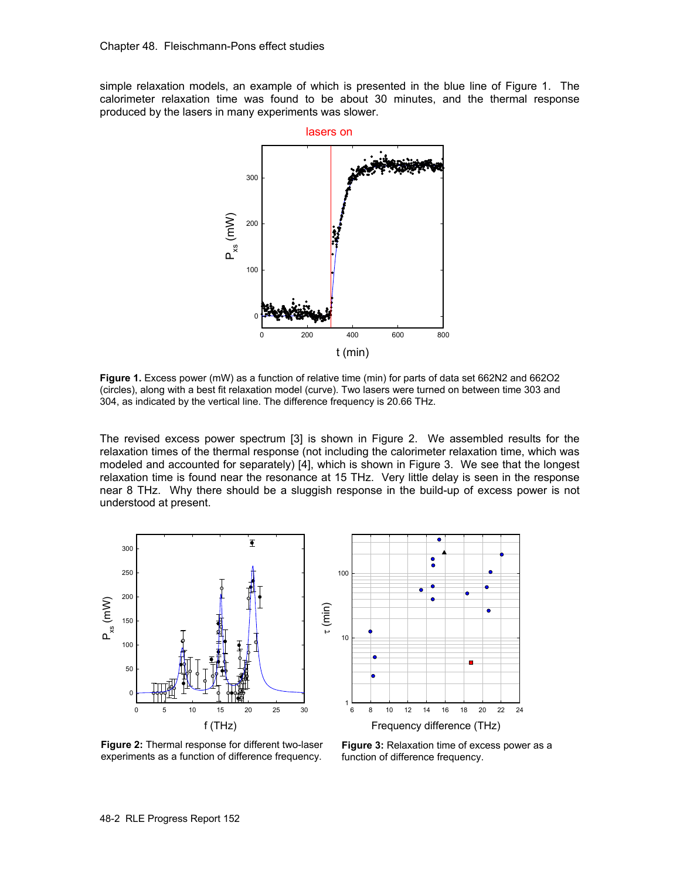simple relaxation models, an example of which is presented in the blue line of Figure 1. The calorimeter relaxation time was found to be about 30 minutes, and the thermal response produced by the lasers in many experiments was slower.



**Figure 1.** Excess power (mW) as a function of relative time (min) for parts of data set 662N2 and 662O2 (circles), along with a best fit relaxation model (curve). Two lasers were turned on between time 303 and 304, as indicated by the vertical line. The difference frequency is 20.66 THz.

The revised excess power spectrum [3] is shown in Figure 2. We assembled results for the relaxation times of the thermal response (not including the calorimeter relaxation time, which was modeled and accounted for separately) [4], which is shown in Figure 3. We see that the longest relaxation time is found near the resonance at 15 THz. Very little delay is seen in the response near 8 THz. Why there should be a sluggish response in the build-up of excess power is not understood at present.





**Figure 2:** Thermal response for different two-laser experiments as a function of difference frequency.

**Figure 3:** Relaxation time of excess power as a function of difference frequency.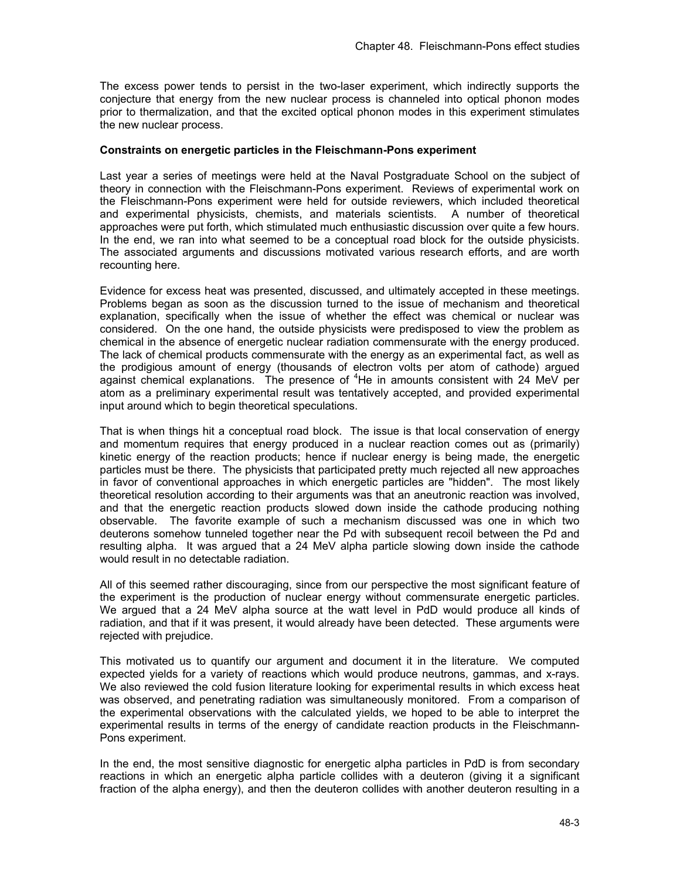The excess power tends to persist in the two-laser experiment, which indirectly supports the conjecture that energy from the new nuclear process is channeled into optical phonon modes prior to thermalization, and that the excited optical phonon modes in this experiment stimulates the new nuclear process.

## **Constraints on energetic particles in the Fleischmann-Pons experiment**

Last year a series of meetings were held at the Naval Postgraduate School on the subject of theory in connection with the Fleischmann-Pons experiment. Reviews of experimental work on the Fleischmann-Pons experiment were held for outside reviewers, which included theoretical and experimental physicists, chemists, and materials scientists. A number of theoretical approaches were put forth, which stimulated much enthusiastic discussion over quite a few hours. In the end, we ran into what seemed to be a conceptual road block for the outside physicists. The associated arguments and discussions motivated various research efforts, and are worth recounting here.

Evidence for excess heat was presented, discussed, and ultimately accepted in these meetings. Problems began as soon as the discussion turned to the issue of mechanism and theoretical explanation, specifically when the issue of whether the effect was chemical or nuclear was considered. On the one hand, the outside physicists were predisposed to view the problem as chemical in the absence of energetic nuclear radiation commensurate with the energy produced. The lack of chemical products commensurate with the energy as an experimental fact, as well as the prodigious amount of energy (thousands of electron volts per atom of cathode) argued against chemical explanations. The presence of <sup>4</sup>He in amounts consistent with 24 MeV per atom as a preliminary experimental result was tentatively accepted, and provided experimental input around which to begin theoretical speculations.

That is when things hit a conceptual road block. The issue is that local conservation of energy and momentum requires that energy produced in a nuclear reaction comes out as (primarily) kinetic energy of the reaction products; hence if nuclear energy is being made, the energetic particles must be there. The physicists that participated pretty much rejected all new approaches in favor of conventional approaches in which energetic particles are "hidden". The most likely theoretical resolution according to their arguments was that an aneutronic reaction was involved, and that the energetic reaction products slowed down inside the cathode producing nothing observable. The favorite example of such a mechanism discussed was one in which two deuterons somehow tunneled together near the Pd with subsequent recoil between the Pd and resulting alpha. It was argued that a 24 MeV alpha particle slowing down inside the cathode would result in no detectable radiation.

All of this seemed rather discouraging, since from our perspective the most significant feature of the experiment is the production of nuclear energy without commensurate energetic particles. We argued that a 24 MeV alpha source at the watt level in PdD would produce all kinds of radiation, and that if it was present, it would already have been detected. These arguments were rejected with prejudice.

This motivated us to quantify our argument and document it in the literature. We computed expected yields for a variety of reactions which would produce neutrons, gammas, and x-rays. We also reviewed the cold fusion literature looking for experimental results in which excess heat was observed, and penetrating radiation was simultaneously monitored. From a comparison of the experimental observations with the calculated yields, we hoped to be able to interpret the experimental results in terms of the energy of candidate reaction products in the Fleischmann-Pons experiment.

In the end, the most sensitive diagnostic for energetic alpha particles in PdD is from secondary reactions in which an energetic alpha particle collides with a deuteron (giving it a significant fraction of the alpha energy), and then the deuteron collides with another deuteron resulting in a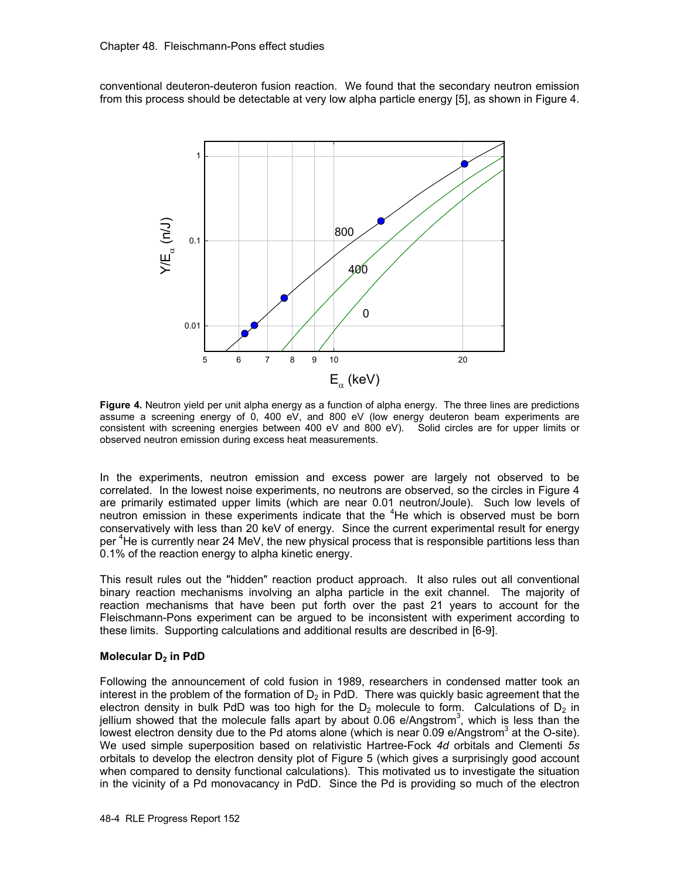conventional deuteron-deuteron fusion reaction. We found that the secondary neutron emission from this process should be detectable at very low alpha particle energy [5], as shown in Figure 4.



**Figure 4.** Neutron yield per unit alpha energy as a function of alpha energy. The three lines are predictions assume a screening energy of 0, 400 eV, and 800 eV (low energy deuteron beam experiments are consistent with screening energies between 400 eV and 800 eV). Solid circles are for upper limits or observed neutron emission during excess heat measurements.

In the experiments, neutron emission and excess power are largely not observed to be correlated. In the lowest noise experiments, no neutrons are observed, so the circles in Figure 4 are primarily estimated upper limits (which are near 0.01 neutron/Joule). Such low levels of neutron emission in these experiments indicate that the <sup>4</sup>He which is observed must be born conservatively with less than 20 keV of energy. Since the current experimental result for energy per <sup>4</sup>He is currently near 24 MeV, the new physical process that is responsible partitions less than 0.1% of the reaction energy to alpha kinetic energy.

This result rules out the "hidden" reaction product approach. It also rules out all conventional binary reaction mechanisms involving an alpha particle in the exit channel. The majority of reaction mechanisms that have been put forth over the past 21 years to account for the Fleischmann-Pons experiment can be argued to be inconsistent with experiment according to these limits. Supporting calculations and additional results are described in [6-9].

#### **Molecular D<sub>2</sub> in PdD**

Following the announcement of cold fusion in 1989, researchers in condensed matter took an interest in the problem of the formation of  $D_2$  in PdD. There was quickly basic agreement that the electron density in bulk PdD was too high for the  $D<sub>2</sub>$  molecule to form. Calculations of  $D<sub>2</sub>$  in jellium showed that the molecule falls apart by about 0.06 e/Angstrom<sup>3</sup>, which is less than the lowest electron density due to the Pd atoms alone (which is near 0.09 e/Angstrom<sup>3</sup> at the O-site). We used simple superposition based on relativistic Hartree-Fock *4d* orbitals and Clementi *5s* orbitals to develop the electron density plot of Figure 5 (which gives a surprisingly good account when compared to density functional calculations). This motivated us to investigate the situation in the vicinity of a Pd monovacancy in PdD. Since the Pd is providing so much of the electron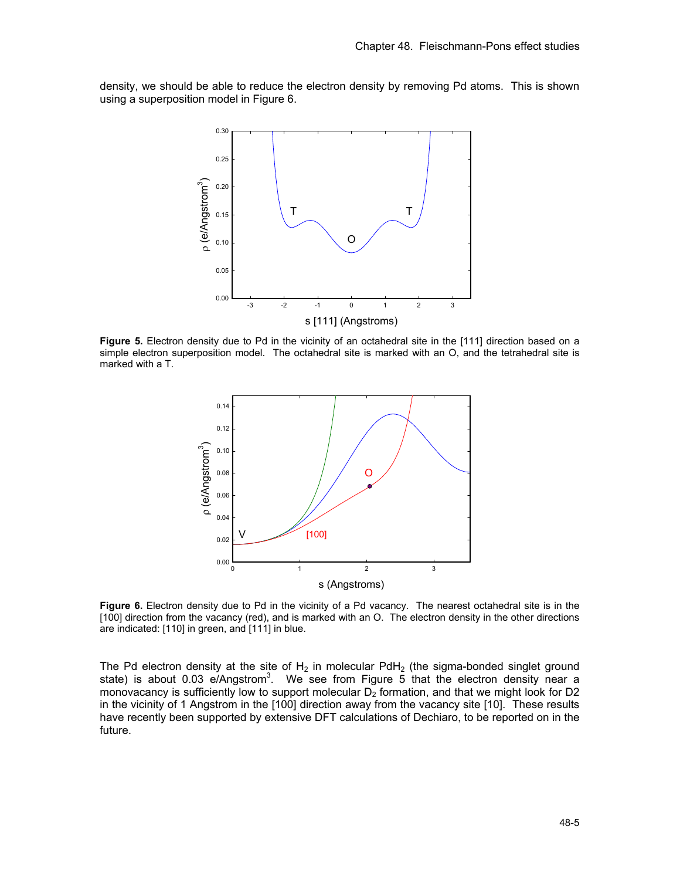density, we should be able to reduce the electron density by removing Pd atoms. This is shown using a superposition model in Figure 6.



**Figure 5.** Electron density due to Pd in the vicinity of an octahedral site in the [111] direction based on a simple electron superposition model. The octahedral site is marked with an O, and the tetrahedral site is marked with a T.



**Figure 6.** Electron density due to Pd in the vicinity of a Pd vacancy. The nearest octahedral site is in the [100] direction from the vacancy (red), and is marked with an O. The electron density in the other directions are indicated: [110] in green, and [111] in blue.

The Pd electron density at the site of  $H_2$  in molecular PdH<sub>2</sub> (the sigma-bonded singlet ground state) is about 0.03 e/Angstrom<sup>3</sup>. We see from Figure 5 that the electron density near a monovacancy is sufficiently low to support molecular  $D_2$  formation, and that we might look for D2 in the vicinity of 1 Angstrom in the [100] direction away from the vacancy site [10]. These results have recently been supported by extensive DFT calculations of Dechiaro, to be reported on in the future.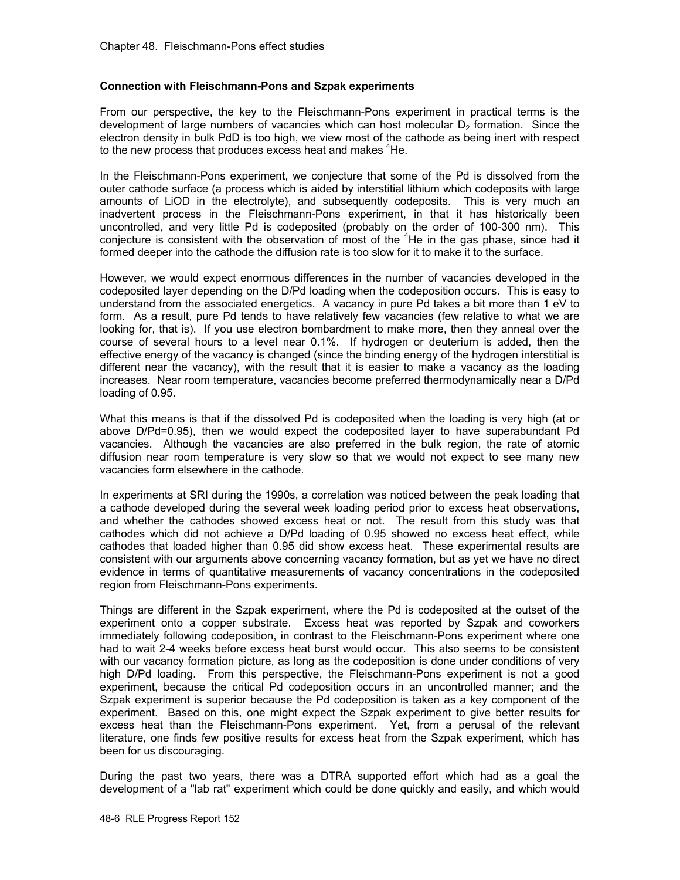#### **Connection with Fleischmann-Pons and Szpak experiments**

From our perspective, the key to the Fleischmann-Pons experiment in practical terms is the development of large numbers of vacancies which can host molecular  $D<sub>2</sub>$  formation. Since the electron density in bulk PdD is too high, we view most of the cathode as being inert with respect to the new process that produces excess heat and makes <sup>4</sup>He.

In the Fleischmann-Pons experiment, we conjecture that some of the Pd is dissolved from the outer cathode surface (a process which is aided by interstitial lithium which codeposits with large amounts of LiOD in the electrolyte), and subsequently codeposits. This is very much an inadvertent process in the Fleischmann-Pons experiment, in that it has historically been uncontrolled, and very little Pd is codeposited (probably on the order of 100-300 nm). This conjecture is consistent with the observation of most of the  $4$ He in the gas phase, since had it formed deeper into the cathode the diffusion rate is too slow for it to make it to the surface.

However, we would expect enormous differences in the number of vacancies developed in the codeposited layer depending on the D/Pd loading when the codeposition occurs. This is easy to understand from the associated energetics. A vacancy in pure Pd takes a bit more than 1 eV to form. As a result, pure Pd tends to have relatively few vacancies (few relative to what we are looking for, that is). If you use electron bombardment to make more, then they anneal over the course of several hours to a level near 0.1%. If hydrogen or deuterium is added, then the effective energy of the vacancy is changed (since the binding energy of the hydrogen interstitial is different near the vacancy), with the result that it is easier to make a vacancy as the loading increases. Near room temperature, vacancies become preferred thermodynamically near a D/Pd loading of 0.95.

What this means is that if the dissolved Pd is codeposited when the loading is very high (at or above D/Pd=0.95), then we would expect the codeposited layer to have superabundant Pd vacancies. Although the vacancies are also preferred in the bulk region, the rate of atomic diffusion near room temperature is very slow so that we would not expect to see many new vacancies form elsewhere in the cathode.

In experiments at SRI during the 1990s, a correlation was noticed between the peak loading that a cathode developed during the several week loading period prior to excess heat observations, and whether the cathodes showed excess heat or not. The result from this study was that cathodes which did not achieve a D/Pd loading of 0.95 showed no excess heat effect, while cathodes that loaded higher than 0.95 did show excess heat. These experimental results are consistent with our arguments above concerning vacancy formation, but as yet we have no direct evidence in terms of quantitative measurements of vacancy concentrations in the codeposited region from Fleischmann-Pons experiments.

Things are different in the Szpak experiment, where the Pd is codeposited at the outset of the experiment onto a copper substrate. Excess heat was reported by Szpak and coworkers immediately following codeposition, in contrast to the Fleischmann-Pons experiment where one had to wait 2-4 weeks before excess heat burst would occur. This also seems to be consistent with our vacancy formation picture, as long as the codeposition is done under conditions of very high D/Pd loading. From this perspective, the Fleischmann-Pons experiment is not a good experiment, because the critical Pd codeposition occurs in an uncontrolled manner; and the Szpak experiment is superior because the Pd codeposition is taken as a key component of the experiment. Based on this, one might expect the Szpak experiment to give better results for excess heat than the Fleischmann-Pons experiment. Yet, from a perusal of the relevant literature, one finds few positive results for excess heat from the Szpak experiment, which has been for us discouraging.

During the past two years, there was a DTRA supported effort which had as a goal the development of a "lab rat" experiment which could be done quickly and easily, and which would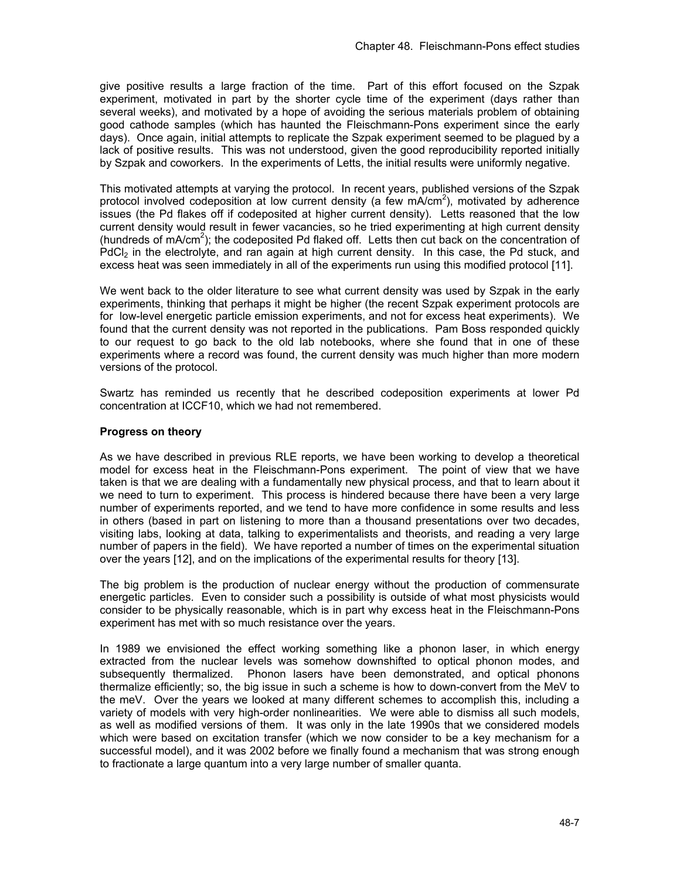give positive results a large fraction of the time. Part of this effort focused on the Szpak experiment, motivated in part by the shorter cycle time of the experiment (days rather than several weeks), and motivated by a hope of avoiding the serious materials problem of obtaining good cathode samples (which has haunted the Fleischmann-Pons experiment since the early days). Once again, initial attempts to replicate the Szpak experiment seemed to be plagued by a lack of positive results. This was not understood, given the good reproducibility reported initially by Szpak and coworkers. In the experiments of Letts, the initial results were uniformly negative.

This motivated attempts at varying the protocol. In recent years, published versions of the Szpak protocol involved codeposition at low current density (a few mA/cm<sup>2</sup>), motivated by adherence issues (the Pd flakes off if codeposited at higher current density). Letts reasoned that the low current density would result in fewer vacancies, so he tried experimenting at high current density (hundreds of  $mA/cm<sup>2</sup>$ ); the codeposited Pd flaked off. Letts then cut back on the concentration of  $PdCl<sub>2</sub>$  in the electrolyte, and ran again at high current density. In this case, the Pd stuck, and excess heat was seen immediately in all of the experiments run using this modified protocol [11].

We went back to the older literature to see what current density was used by Szpak in the early experiments, thinking that perhaps it might be higher (the recent Szpak experiment protocols are for low-level energetic particle emission experiments, and not for excess heat experiments). We found that the current density was not reported in the publications. Pam Boss responded quickly to our request to go back to the old lab notebooks, where she found that in one of these experiments where a record was found, the current density was much higher than more modern versions of the protocol.

Swartz has reminded us recently that he described codeposition experiments at lower Pd concentration at ICCF10, which we had not remembered.

# **Progress on theory**

As we have described in previous RLE reports, we have been working to develop a theoretical model for excess heat in the Fleischmann-Pons experiment. The point of view that we have taken is that we are dealing with a fundamentally new physical process, and that to learn about it we need to turn to experiment. This process is hindered because there have been a very large number of experiments reported, and we tend to have more confidence in some results and less in others (based in part on listening to more than a thousand presentations over two decades, visiting labs, looking at data, talking to experimentalists and theorists, and reading a very large number of papers in the field). We have reported a number of times on the experimental situation over the years [12], and on the implications of the experimental results for theory [13].

The big problem is the production of nuclear energy without the production of commensurate energetic particles. Even to consider such a possibility is outside of what most physicists would consider to be physically reasonable, which is in part why excess heat in the Fleischmann-Pons experiment has met with so much resistance over the years.

In 1989 we envisioned the effect working something like a phonon laser, in which energy extracted from the nuclear levels was somehow downshifted to optical phonon modes, and subsequently thermalized. Phonon lasers have been demonstrated, and optical phonons thermalize efficiently; so, the big issue in such a scheme is how to down-convert from the MeV to the meV. Over the years we looked at many different schemes to accomplish this, including a variety of models with very high-order nonlinearities. We were able to dismiss all such models, as well as modified versions of them. It was only in the late 1990s that we considered models which were based on excitation transfer (which we now consider to be a key mechanism for a successful model), and it was 2002 before we finally found a mechanism that was strong enough to fractionate a large quantum into a very large number of smaller quanta.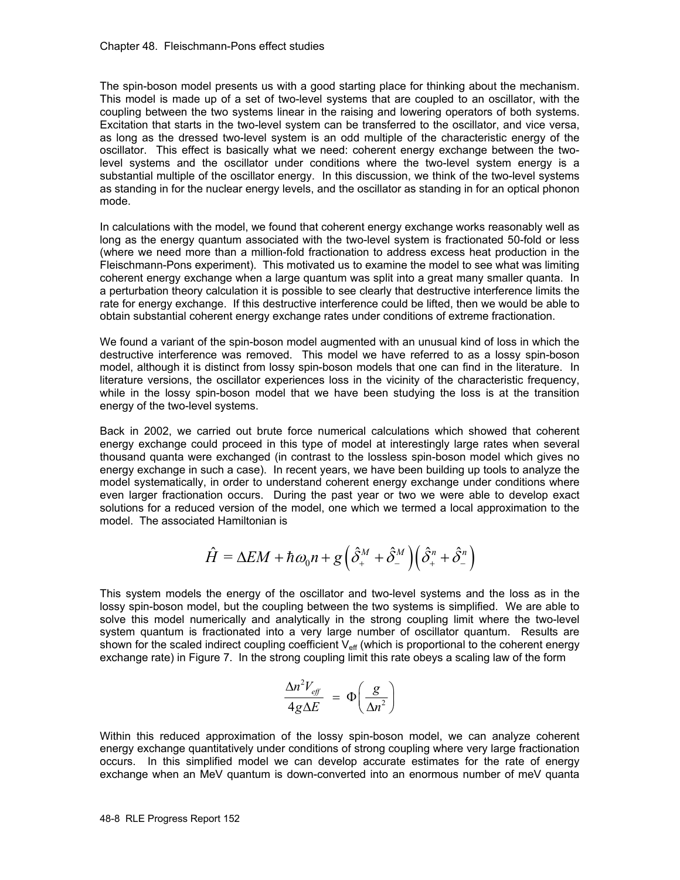The spin-boson model presents us with a good starting place for thinking about the mechanism. This model is made up of a set of two-level systems that are coupled to an oscillator, with the coupling between the two systems linear in the raising and lowering operators of both systems. Excitation that starts in the two-level system can be transferred to the oscillator, and vice versa, as long as the dressed two-level system is an odd multiple of the characteristic energy of the oscillator. This effect is basically what we need: coherent energy exchange between the twolevel systems and the oscillator under conditions where the two-level system energy is a substantial multiple of the oscillator energy. In this discussion, we think of the two-level systems as standing in for the nuclear energy levels, and the oscillator as standing in for an optical phonon mode.

In calculations with the model, we found that coherent energy exchange works reasonably well as long as the energy quantum associated with the two-level system is fractionated 50-fold or less (where we need more than a million-fold fractionation to address excess heat production in the Fleischmann-Pons experiment). This motivated us to examine the model to see what was limiting coherent energy exchange when a large quantum was split into a great many smaller quanta. In a perturbation theory calculation it is possible to see clearly that destructive interference limits the rate for energy exchange. If this destructive interference could be lifted, then we would be able to obtain substantial coherent energy exchange rates under conditions of extreme fractionation.

We found a variant of the spin-boson model augmented with an unusual kind of loss in which the destructive interference was removed. This model we have referred to as a lossy spin-boson model, although it is distinct from lossy spin-boson models that one can find in the literature. In literature versions, the oscillator experiences loss in the vicinity of the characteristic frequency, while in the lossy spin-boson model that we have been studying the loss is at the transition energy of the two-level systems.

Back in 2002, we carried out brute force numerical calculations which showed that coherent energy exchange could proceed in this type of model at interestingly large rates when several thousand quanta were exchanged (in contrast to the lossless spin-boson model which gives no energy exchange in such a case). In recent years, we have been building up tools to analyze the model systematically, in order to understand coherent energy exchange under conditions where even larger fractionation occurs. During the past year or two we were able to develop exact solutions for a reduced version of the model, one which we termed a local approximation to the model. The associated Hamiltonian is

$$
\hat{H} = \Delta EM + \hbar \omega_0 n + g \left( \hat{\delta}_+^M + \hat{\delta}_-^M \right) \left( \hat{\delta}_+^n + \hat{\delta}_-^n \right)
$$

This system models the energy of the oscillator and two-level systems and the loss as in the lossy spin-boson model, but the coupling between the two systems is simplified. We are able to solve this model numerically and analytically in the strong coupling limit where the two-level system quantum is fractionated into a very large number of oscillator quantum. Results are shown for the scaled indirect coupling coefficient  $V_{\text{eff}}$  (which is proportional to the coherent energy exchange rate) in Figure 7. In the strong coupling limit this rate obeys a scaling law of the form

$$
\frac{\Delta n^2 V_{\text{eff}}}{4g\Delta E} = \Phi \left( \frac{g}{\Delta n^2} \right)
$$

Within this reduced approximation of the lossy spin-boson model, we can analyze coherent energy exchange quantitatively under conditions of strong coupling where very large fractionation occurs. In this simplified model we can develop accurate estimates for the rate of energy exchange when an MeV quantum is down-converted into an enormous number of meV quanta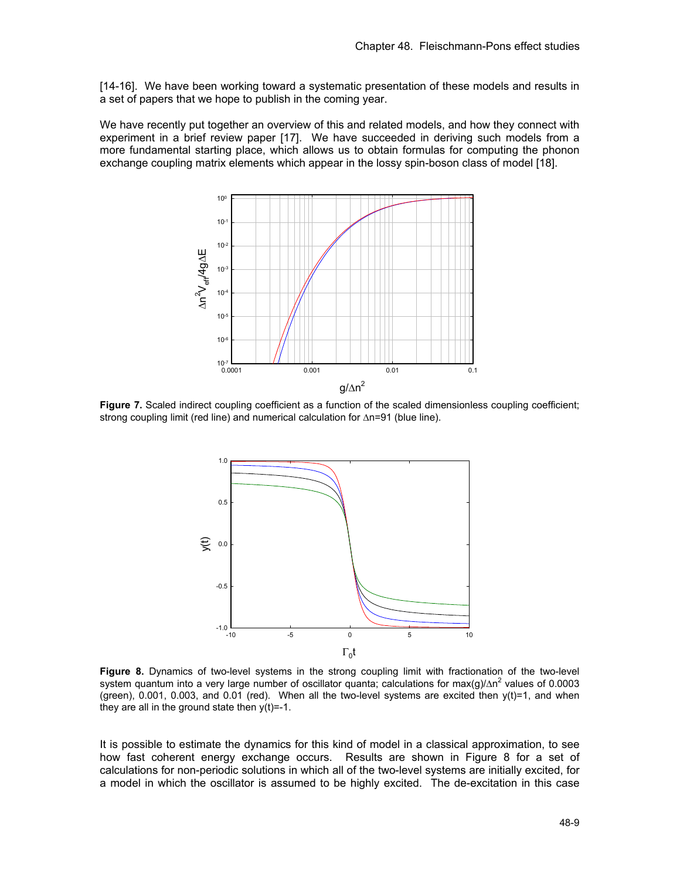[14-16]. We have been working toward a systematic presentation of these models and results in a set of papers that we hope to publish in the coming year.

We have recently put together an overview of this and related models, and how they connect with experiment in a brief review paper [17]. We have succeeded in deriving such models from a more fundamental starting place, which allows us to obtain formulas for computing the phonon exchange coupling matrix elements which appear in the lossy spin-boson class of model [18].



**Figure 7.** Scaled indirect coupling coefficient as a function of the scaled dimensionless coupling coefficient; strong coupling limit (red line) and numerical calculation for Δn=91 (blue line).



**Figure 8.** Dynamics of two-level systems in the strong coupling limit with fractionation of the two-level system quantum into a very large number of oscillator quanta; calculations for max(g)/ $\Delta n^2$  values of 0.0003 (green),  $0.001$ ,  $0.003$ , and  $0.01$  (red). When all the two-level systems are excited then  $y(t)=1$ , and when they are all in the ground state then  $y(t) = -1$ .

It is possible to estimate the dynamics for this kind of model in a classical approximation, to see how fast coherent energy exchange occurs. Results are shown in Figure 8 for a set of calculations for non-periodic solutions in which all of the two-level systems are initially excited, for a model in which the oscillator is assumed to be highly excited. The de-excitation in this case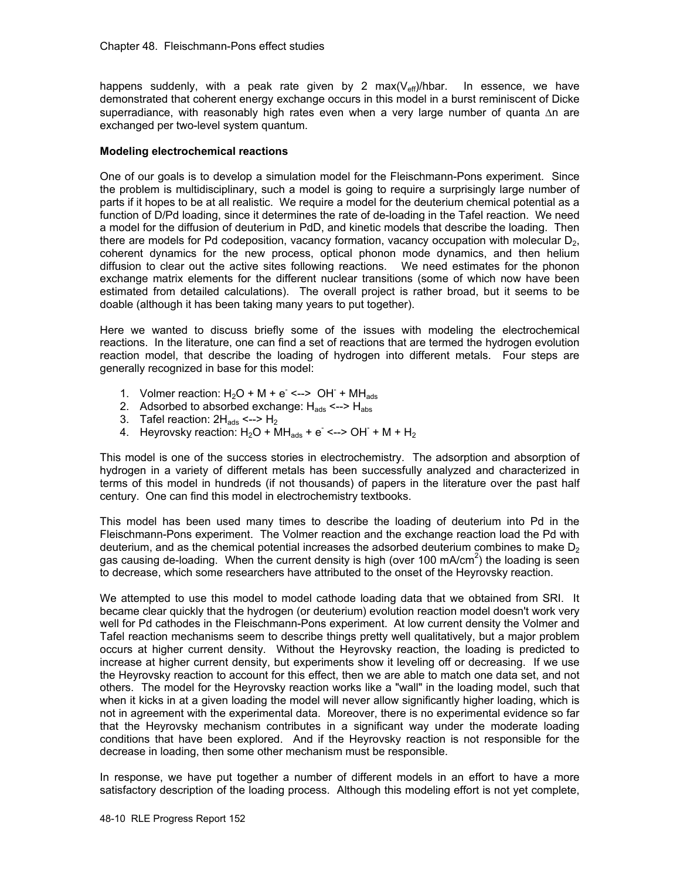happens suddenly, with a peak rate given by 2 max( $V_{\text{eff}}$ )/hbar. In essence, we have demonstrated that coherent energy exchange occurs in this model in a burst reminiscent of Dicke superradiance, with reasonably high rates even when a very large number of quanta Δn are exchanged per two-level system quantum.

## **Modeling electrochemical reactions**

One of our goals is to develop a simulation model for the Fleischmann-Pons experiment. Since the problem is multidisciplinary, such a model is going to require a surprisingly large number of parts if it hopes to be at all realistic. We require a model for the deuterium chemical potential as a function of D/Pd loading, since it determines the rate of de-loading in the Tafel reaction. We need a model for the diffusion of deuterium in PdD, and kinetic models that describe the loading. Then there are models for Pd codeposition, vacancy formation, vacancy occupation with molecular  $D<sub>2</sub>$ , coherent dynamics for the new process, optical phonon mode dynamics, and then helium diffusion to clear out the active sites following reactions. We need estimates for the phonon exchange matrix elements for the different nuclear transitions (some of which now have been estimated from detailed calculations). The overall project is rather broad, but it seems to be doable (although it has been taking many years to put together).

Here we wanted to discuss briefly some of the issues with modeling the electrochemical reactions. In the literature, one can find a set of reactions that are termed the hydrogen evolution reaction model, that describe the loading of hydrogen into different metals. Four steps are generally recognized in base for this model:

- 1. Volmer reaction:  $H_2O + M + e^- \leftarrow \leftarrow OH^- + MH_{ads}$
- 2. Adsorbed to absorbed exchange:  $H_{ads}$  <-->  $H_{abs}$
- 3. Tafel reaction:  $2H_{ads}$  <-->  $H_2$
- 4. Heyrovsky reaction: H2O + MHads + e- <--> OH- + M + H2

This model is one of the success stories in electrochemistry. The adsorption and absorption of hydrogen in a variety of different metals has been successfully analyzed and characterized in terms of this model in hundreds (if not thousands) of papers in the literature over the past half century. One can find this model in electrochemistry textbooks.

This model has been used many times to describe the loading of deuterium into Pd in the Fleischmann-Pons experiment. The Volmer reaction and the exchange reaction load the Pd with deuterium, and as the chemical potential increases the adsorbed deuterium combines to make  $D<sub>2</sub>$ gas causing de-loading. When the current density is high (over 100 mA/cm<sup>2</sup>) the loading is seen to decrease, which some researchers have attributed to the onset of the Heyrovsky reaction.

We attempted to use this model to model cathode loading data that we obtained from SRI. It became clear quickly that the hydrogen (or deuterium) evolution reaction model doesn't work very well for Pd cathodes in the Fleischmann-Pons experiment. At low current density the Volmer and Tafel reaction mechanisms seem to describe things pretty well qualitatively, but a major problem occurs at higher current density. Without the Heyrovsky reaction, the loading is predicted to increase at higher current density, but experiments show it leveling off or decreasing. If we use the Heyrovsky reaction to account for this effect, then we are able to match one data set, and not others. The model for the Heyrovsky reaction works like a "wall" in the loading model, such that when it kicks in at a given loading the model will never allow significantly higher loading, which is not in agreement with the experimental data. Moreover, there is no experimental evidence so far that the Heyrovsky mechanism contributes in a significant way under the moderate loading conditions that have been explored. And if the Heyrovsky reaction is not responsible for the decrease in loading, then some other mechanism must be responsible.

In response, we have put together a number of different models in an effort to have a more satisfactory description of the loading process. Although this modeling effort is not yet complete,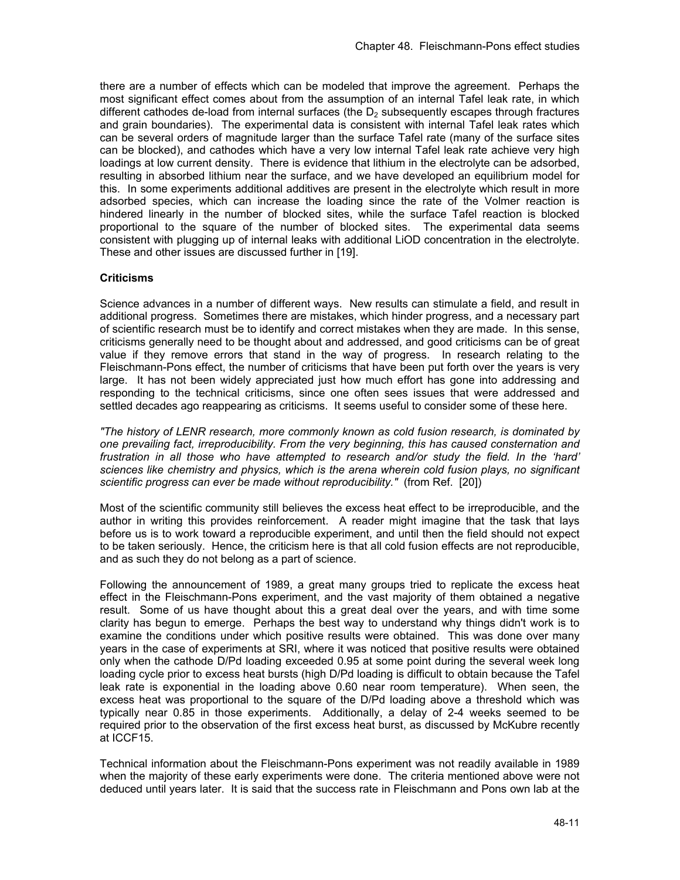there are a number of effects which can be modeled that improve the agreement. Perhaps the most significant effect comes about from the assumption of an internal Tafel leak rate, in which different cathodes de-load from internal surfaces (the  $D<sub>2</sub>$  subsequently escapes through fractures and grain boundaries). The experimental data is consistent with internal Tafel leak rates which can be several orders of magnitude larger than the surface Tafel rate (many of the surface sites can be blocked), and cathodes which have a very low internal Tafel leak rate achieve very high loadings at low current density. There is evidence that lithium in the electrolyte can be adsorbed, resulting in absorbed lithium near the surface, and we have developed an equilibrium model for this. In some experiments additional additives are present in the electrolyte which result in more adsorbed species, which can increase the loading since the rate of the Volmer reaction is hindered linearly in the number of blocked sites, while the surface Tafel reaction is blocked proportional to the square of the number of blocked sites. The experimental data seems consistent with plugging up of internal leaks with additional LiOD concentration in the electrolyte. These and other issues are discussed further in [19].

# **Criticisms**

Science advances in a number of different ways. New results can stimulate a field, and result in additional progress. Sometimes there are mistakes, which hinder progress, and a necessary part of scientific research must be to identify and correct mistakes when they are made. In this sense, criticisms generally need to be thought about and addressed, and good criticisms can be of great value if they remove errors that stand in the way of progress. In research relating to the Fleischmann-Pons effect, the number of criticisms that have been put forth over the years is very large. It has not been widely appreciated just how much effort has gone into addressing and responding to the technical criticisms, since one often sees issues that were addressed and settled decades ago reappearing as criticisms. It seems useful to consider some of these here.

*"The history of LENR research, more commonly known as cold fusion research, is dominated by one prevailing fact, irreproducibility. From the very beginning, this has caused consternation and frustration in all those who have attempted to research and/or study the field. In the 'hard' sciences like chemistry and physics, which is the arena wherein cold fusion plays, no significant scientific progress can ever be made without reproducibility."* (from Ref. [20])

Most of the scientific community still believes the excess heat effect to be irreproducible, and the author in writing this provides reinforcement. A reader might imagine that the task that lays before us is to work toward a reproducible experiment, and until then the field should not expect to be taken seriously. Hence, the criticism here is that all cold fusion effects are not reproducible, and as such they do not belong as a part of science.

Following the announcement of 1989, a great many groups tried to replicate the excess heat effect in the Fleischmann-Pons experiment, and the vast majority of them obtained a negative result. Some of us have thought about this a great deal over the years, and with time some clarity has begun to emerge. Perhaps the best way to understand why things didn't work is to examine the conditions under which positive results were obtained. This was done over many years in the case of experiments at SRI, where it was noticed that positive results were obtained only when the cathode D/Pd loading exceeded 0.95 at some point during the several week long loading cycle prior to excess heat bursts (high D/Pd loading is difficult to obtain because the Tafel leak rate is exponential in the loading above 0.60 near room temperature). When seen, the excess heat was proportional to the square of the D/Pd loading above a threshold which was typically near 0.85 in those experiments. Additionally, a delay of 2-4 weeks seemed to be required prior to the observation of the first excess heat burst, as discussed by McKubre recently at ICCF15.

Technical information about the Fleischmann-Pons experiment was not readily available in 1989 when the majority of these early experiments were done. The criteria mentioned above were not deduced until years later. It is said that the success rate in Fleischmann and Pons own lab at the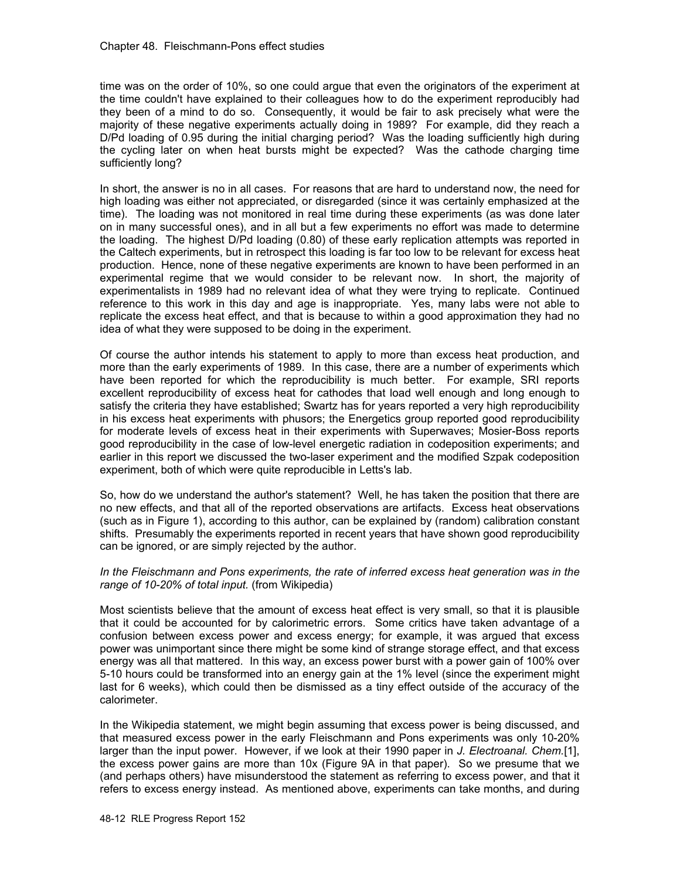time was on the order of 10%, so one could argue that even the originators of the experiment at the time couldn't have explained to their colleagues how to do the experiment reproducibly had they been of a mind to do so. Consequently, it would be fair to ask precisely what were the majority of these negative experiments actually doing in 1989? For example, did they reach a D/Pd loading of 0.95 during the initial charging period? Was the loading sufficiently high during the cycling later on when heat bursts might be expected? Was the cathode charging time sufficiently long?

In short, the answer is no in all cases. For reasons that are hard to understand now, the need for high loading was either not appreciated, or disregarded (since it was certainly emphasized at the time). The loading was not monitored in real time during these experiments (as was done later on in many successful ones), and in all but a few experiments no effort was made to determine the loading. The highest D/Pd loading (0.80) of these early replication attempts was reported in the Caltech experiments, but in retrospect this loading is far too low to be relevant for excess heat production. Hence, none of these negative experiments are known to have been performed in an experimental regime that we would consider to be relevant now. In short, the majority of experimentalists in 1989 had no relevant idea of what they were trying to replicate. Continued reference to this work in this day and age is inappropriate. Yes, many labs were not able to replicate the excess heat effect, and that is because to within a good approximation they had no idea of what they were supposed to be doing in the experiment.

Of course the author intends his statement to apply to more than excess heat production, and more than the early experiments of 1989. In this case, there are a number of experiments which have been reported for which the reproducibility is much better. For example, SRI reports excellent reproducibility of excess heat for cathodes that load well enough and long enough to satisfy the criteria they have established; Swartz has for years reported a very high reproducibility in his excess heat experiments with phusors; the Energetics group reported good reproducibility for moderate levels of excess heat in their experiments with Superwaves; Mosier-Boss reports good reproducibility in the case of low-level energetic radiation in codeposition experiments; and earlier in this report we discussed the two-laser experiment and the modified Szpak codeposition experiment, both of which were quite reproducible in Letts's lab.

So, how do we understand the author's statement? Well, he has taken the position that there are no new effects, and that all of the reported observations are artifacts. Excess heat observations (such as in Figure 1), according to this author, can be explained by (random) calibration constant shifts. Presumably the experiments reported in recent years that have shown good reproducibility can be ignored, or are simply rejected by the author.

### *In the Fleischmann and Pons experiments, the rate of inferred excess heat generation was in the range of 10-20% of total input.* (from Wikipedia)

Most scientists believe that the amount of excess heat effect is very small, so that it is plausible that it could be accounted for by calorimetric errors. Some critics have taken advantage of a confusion between excess power and excess energy; for example, it was argued that excess power was unimportant since there might be some kind of strange storage effect, and that excess energy was all that mattered. In this way, an excess power burst with a power gain of 100% over 5-10 hours could be transformed into an energy gain at the 1% level (since the experiment might last for 6 weeks), which could then be dismissed as a tiny effect outside of the accuracy of the calorimeter.

In the Wikipedia statement, we might begin assuming that excess power is being discussed, and that measured excess power in the early Fleischmann and Pons experiments was only 10-20% larger than the input power. However, if we look at their 1990 paper in *J. Electroanal. Chem.*[1], the excess power gains are more than 10x (Figure 9A in that paper). So we presume that we (and perhaps others) have misunderstood the statement as referring to excess power, and that it refers to excess energy instead. As mentioned above, experiments can take months, and during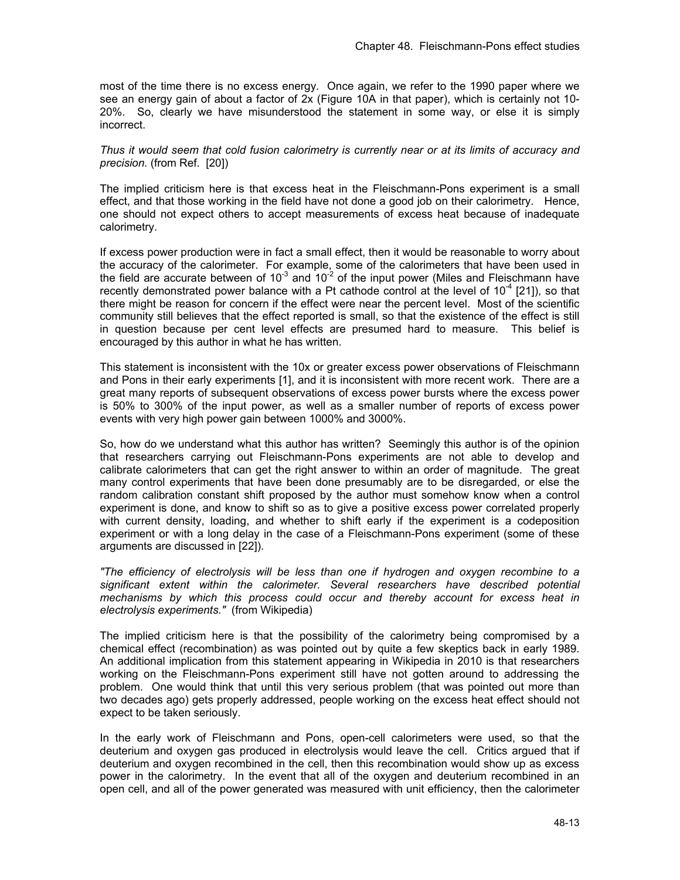most of the time there is no excess energy. Once again, we refer to the 1990 paper where we see an energy gain of about a factor of 2x (Figure 10A in that paper), which is certainly not 10- 20%. So, clearly we have misunderstood the statement in some way, or else it is simply incorrect.

### *Thus it would seem that cold fusion calorimetry is currently near or at its limits of accuracy and precision.* (from Ref. [20])

The implied criticism here is that excess heat in the Fleischmann-Pons experiment is a small effect, and that those working in the field have not done a good job on their calorimetry. Hence, one should not expect others to accept measurements of excess heat because of inadequate calorimetry.

If excess power production were in fact a small effect, then it would be reasonable to worry about the accuracy of the calorimeter. For example, some of the calorimeters that have been used in the field are accurate between of 10<sup>-3</sup> and 10<sup>-2</sup> of the input power (Miles and Fleischmann have recently demonstrated power balance with a Pt cathode control at the level of  $10^{-4}$  [21]), so that there might be reason for concern if the effect were near the percent level. Most of the scientific community still believes that the effect reported is small, so that the existence of the effect is still in question because per cent level effects are presumed hard to measure. This belief is encouraged by this author in what he has written.

This statement is inconsistent with the 10x or greater excess power observations of Fleischmann and Pons in their early experiments [1], and it is inconsistent with more recent work. There are a great many reports of subsequent observations of excess power bursts where the excess power is 50% to 300% of the input power, as well as a smaller number of reports of excess power events with very high power gain between 1000% and 3000%.

So, how do we understand what this author has written? Seemingly this author is of the opinion that researchers carrying out Fleischmann-Pons experiments are not able to develop and calibrate calorimeters that can get the right answer to within an order of magnitude. The great many control experiments that have been done presumably are to be disregarded, or else the random calibration constant shift proposed by the author must somehow know when a control experiment is done, and know to shift so as to give a positive excess power correlated properly with current density, loading, and whether to shift early if the experiment is a codeposition experiment or with a long delay in the case of a Fleischmann-Pons experiment (some of these arguments are discussed in [22]).

*"The efficiency of electrolysis will be less than one if hydrogen and oxygen recombine to a significant extent within the calorimeter. Several researchers have described potential mechanisms by which this process could occur and thereby account for excess heat in electrolysis experiments."* (from Wikipedia)

The implied criticism here is that the possibility of the calorimetry being compromised by a chemical effect (recombination) as was pointed out by quite a few skeptics back in early 1989. An additional implication from this statement appearing in Wikipedia in 2010 is that researchers working on the Fleischmann-Pons experiment still have not gotten around to addressing the problem. One would think that until this very serious problem (that was pointed out more than two decades ago) gets properly addressed, people working on the excess heat effect should not expect to be taken seriously.

In the early work of Fleischmann and Pons, open-cell calorimeters were used, so that the deuterium and oxygen gas produced in electrolysis would leave the cell. Critics argued that if deuterium and oxygen recombined in the cell, then this recombination would show up as excess power in the calorimetry. In the event that all of the oxygen and deuterium recombined in an open cell, and all of the power generated was measured with unit efficiency, then the calorimeter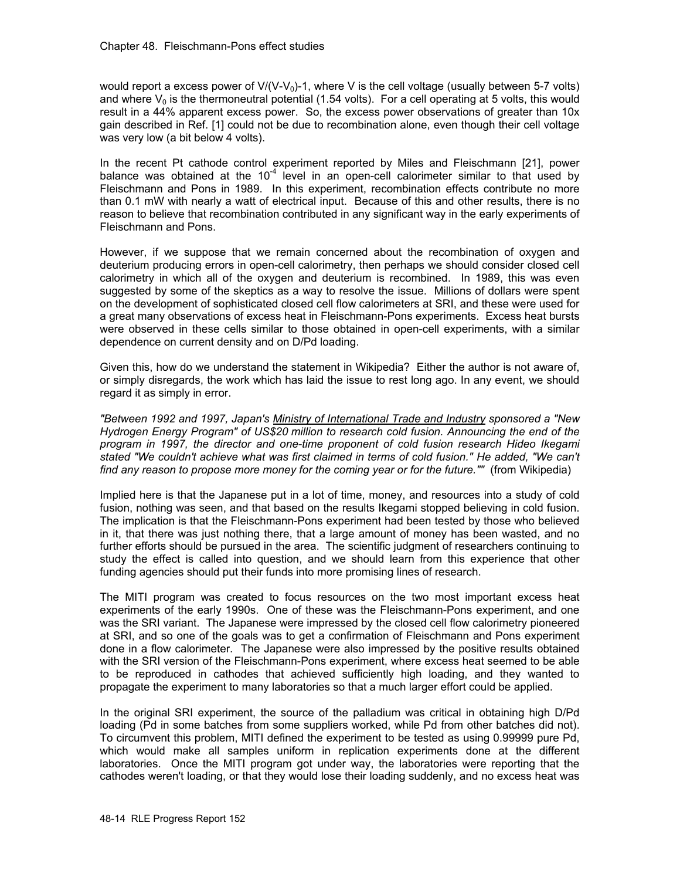would report a excess power of  $V/(V-V_0)$ -1, where V is the cell voltage (usually between 5-7 volts) and where  $V_0$  is the thermoneutral potential (1.54 volts). For a cell operating at 5 volts, this would result in a 44% apparent excess power. So, the excess power observations of greater than 10x gain described in Ref. [1] could not be due to recombination alone, even though their cell voltage was very low (a bit below 4 volts).

In the recent Pt cathode control experiment reported by Miles and Fleischmann [21], power balance was obtained at the 10 $4$  level in an open-cell calorimeter similar to that used by Fleischmann and Pons in 1989. In this experiment, recombination effects contribute no more than 0.1 mW with nearly a watt of electrical input. Because of this and other results, there is no reason to believe that recombination contributed in any significant way in the early experiments of Fleischmann and Pons.

However, if we suppose that we remain concerned about the recombination of oxygen and deuterium producing errors in open-cell calorimetry, then perhaps we should consider closed cell calorimetry in which all of the oxygen and deuterium is recombined. In 1989, this was even suggested by some of the skeptics as a way to resolve the issue. Millions of dollars were spent on the development of sophisticated closed cell flow calorimeters at SRI, and these were used for a great many observations of excess heat in Fleischmann-Pons experiments. Excess heat bursts were observed in these cells similar to those obtained in open-cell experiments, with a similar dependence on current density and on D/Pd loading.

Given this, how do we understand the statement in Wikipedia? Either the author is not aware of, or simply disregards, the work which has laid the issue to rest long ago. In any event, we should regard it as simply in error.

*"Between 1992 and 1997, Japan's Ministry of International Trade and Industry sponsored a "New Hydrogen Energy Program" of US\$20 million to research cold fusion. Announcing the end of the program in 1997, the director and one-time proponent of cold fusion research Hideo Ikegami stated "We couldn't achieve what was first claimed in terms of cold fusion." He added, "We can't find any reason to propose more money for the coming year or for the future.""* (from Wikipedia)

Implied here is that the Japanese put in a lot of time, money, and resources into a study of cold fusion, nothing was seen, and that based on the results Ikegami stopped believing in cold fusion. The implication is that the Fleischmann-Pons experiment had been tested by those who believed in it, that there was just nothing there, that a large amount of money has been wasted, and no further efforts should be pursued in the area. The scientific judgment of researchers continuing to study the effect is called into question, and we should learn from this experience that other funding agencies should put their funds into more promising lines of research.

The MITI program was created to focus resources on the two most important excess heat experiments of the early 1990s. One of these was the Fleischmann-Pons experiment, and one was the SRI variant. The Japanese were impressed by the closed cell flow calorimetry pioneered at SRI, and so one of the goals was to get a confirmation of Fleischmann and Pons experiment done in a flow calorimeter. The Japanese were also impressed by the positive results obtained with the SRI version of the Fleischmann-Pons experiment, where excess heat seemed to be able to be reproduced in cathodes that achieved sufficiently high loading, and they wanted to propagate the experiment to many laboratories so that a much larger effort could be applied.

In the original SRI experiment, the source of the palladium was critical in obtaining high D/Pd loading (Pd in some batches from some suppliers worked, while Pd from other batches did not). To circumvent this problem, MITI defined the experiment to be tested as using 0.99999 pure Pd, which would make all samples uniform in replication experiments done at the different laboratories. Once the MITI program got under way, the laboratories were reporting that the cathodes weren't loading, or that they would lose their loading suddenly, and no excess heat was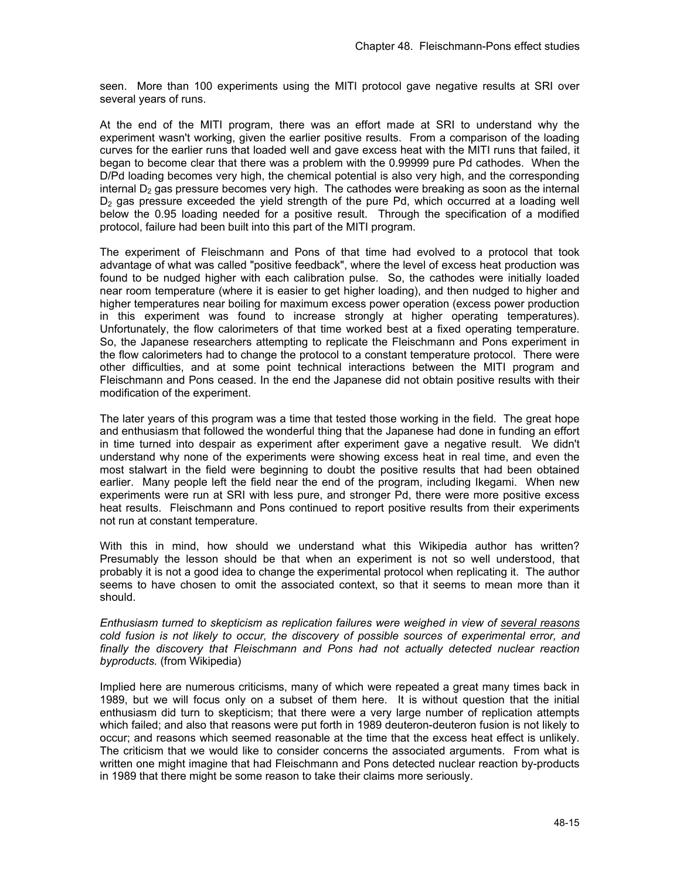seen. More than 100 experiments using the MITI protocol gave negative results at SRI over several years of runs.

At the end of the MITI program, there was an effort made at SRI to understand why the experiment wasn't working, given the earlier positive results. From a comparison of the loading curves for the earlier runs that loaded well and gave excess heat with the MITI runs that failed, it began to become clear that there was a problem with the 0.99999 pure Pd cathodes. When the D/Pd loading becomes very high, the chemical potential is also very high, and the corresponding internal  $D<sub>2</sub>$  gas pressure becomes very high. The cathodes were breaking as soon as the internal  $D<sub>2</sub>$  gas pressure exceeded the yield strength of the pure Pd, which occurred at a loading well below the 0.95 loading needed for a positive result. Through the specification of a modified protocol, failure had been built into this part of the MITI program.

The experiment of Fleischmann and Pons of that time had evolved to a protocol that took advantage of what was called "positive feedback", where the level of excess heat production was found to be nudged higher with each calibration pulse. So, the cathodes were initially loaded near room temperature (where it is easier to get higher loading), and then nudged to higher and higher temperatures near boiling for maximum excess power operation (excess power production in this experiment was found to increase strongly at higher operating temperatures). Unfortunately, the flow calorimeters of that time worked best at a fixed operating temperature. So, the Japanese researchers attempting to replicate the Fleischmann and Pons experiment in the flow calorimeters had to change the protocol to a constant temperature protocol. There were other difficulties, and at some point technical interactions between the MITI program and Fleischmann and Pons ceased. In the end the Japanese did not obtain positive results with their modification of the experiment.

The later years of this program was a time that tested those working in the field. The great hope and enthusiasm that followed the wonderful thing that the Japanese had done in funding an effort in time turned into despair as experiment after experiment gave a negative result. We didn't understand why none of the experiments were showing excess heat in real time, and even the most stalwart in the field were beginning to doubt the positive results that had been obtained earlier. Many people left the field near the end of the program, including Ikegami. When new experiments were run at SRI with less pure, and stronger Pd, there were more positive excess heat results. Fleischmann and Pons continued to report positive results from their experiments not run at constant temperature.

With this in mind, how should we understand what this Wikipedia author has written? Presumably the lesson should be that when an experiment is not so well understood, that probably it is not a good idea to change the experimental protocol when replicating it. The author seems to have chosen to omit the associated context, so that it seems to mean more than it should.

*Enthusiasm turned to skepticism as replication failures were weighed in view of several reasons cold fusion is not likely to occur, the discovery of possible sources of experimental error, and finally the discovery that Fleischmann and Pons had not actually detected nuclear reaction byproducts.* (from Wikipedia)

Implied here are numerous criticisms, many of which were repeated a great many times back in 1989, but we will focus only on a subset of them here. It is without question that the initial enthusiasm did turn to skepticism; that there were a very large number of replication attempts which failed; and also that reasons were put forth in 1989 deuteron-deuteron fusion is not likely to occur; and reasons which seemed reasonable at the time that the excess heat effect is unlikely. The criticism that we would like to consider concerns the associated arguments. From what is written one might imagine that had Fleischmann and Pons detected nuclear reaction by-products in 1989 that there might be some reason to take their claims more seriously.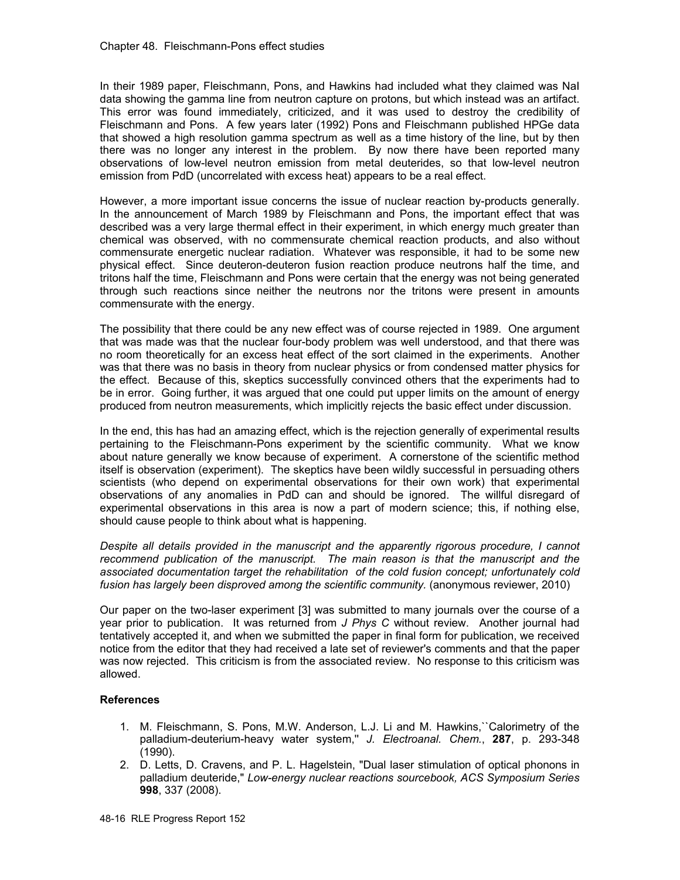In their 1989 paper, Fleischmann, Pons, and Hawkins had included what they claimed was NaI data showing the gamma line from neutron capture on protons, but which instead was an artifact. This error was found immediately, criticized, and it was used to destroy the credibility of Fleischmann and Pons. A few years later (1992) Pons and Fleischmann published HPGe data that showed a high resolution gamma spectrum as well as a time history of the line, but by then there was no longer any interest in the problem. By now there have been reported many observations of low-level neutron emission from metal deuterides, so that low-level neutron emission from PdD (uncorrelated with excess heat) appears to be a real effect.

However, a more important issue concerns the issue of nuclear reaction by-products generally. In the announcement of March 1989 by Fleischmann and Pons, the important effect that was described was a very large thermal effect in their experiment, in which energy much greater than chemical was observed, with no commensurate chemical reaction products, and also without commensurate energetic nuclear radiation. Whatever was responsible, it had to be some new physical effect. Since deuteron-deuteron fusion reaction produce neutrons half the time, and tritons half the time, Fleischmann and Pons were certain that the energy was not being generated through such reactions since neither the neutrons nor the tritons were present in amounts commensurate with the energy.

The possibility that there could be any new effect was of course rejected in 1989. One argument that was made was that the nuclear four-body problem was well understood, and that there was no room theoretically for an excess heat effect of the sort claimed in the experiments. Another was that there was no basis in theory from nuclear physics or from condensed matter physics for the effect. Because of this, skeptics successfully convinced others that the experiments had to be in error. Going further, it was argued that one could put upper limits on the amount of energy produced from neutron measurements, which implicitly rejects the basic effect under discussion.

In the end, this has had an amazing effect, which is the rejection generally of experimental results pertaining to the Fleischmann-Pons experiment by the scientific community. What we know about nature generally we know because of experiment. A cornerstone of the scientific method itself is observation (experiment). The skeptics have been wildly successful in persuading others scientists (who depend on experimental observations for their own work) that experimental observations of any anomalies in PdD can and should be ignored. The willful disregard of experimental observations in this area is now a part of modern science; this, if nothing else, should cause people to think about what is happening.

*Despite all details provided in the manuscript and the apparently rigorous procedure, I cannot recommend publication of the manuscript. The main reason is that the manuscript and the associated documentation target the rehabilitation of the cold fusion concept; unfortunately cold fusion has largely been disproved among the scientific community.* (anonymous reviewer, 2010)

Our paper on the two-laser experiment [3] was submitted to many journals over the course of a year prior to publication. It was returned from *J Phys C* without review.Another journal had tentatively accepted it, and when we submitted the paper in final form for publication, we received notice from the editor that they had received a late set of reviewer's comments and that the paper was now rejected. This criticism is from the associated review. No response to this criticism was allowed.

# **References**

- 1. M. Fleischmann, S. Pons, M.W. Anderson, L.J. Li and M. Hawkins,``Calorimetry of the palladium-deuterium-heavy water system,'' *J. Electroanal. Chem.*, **287**, p. 293-348 (1990).
- 2. D. Letts, D. Cravens, and P. L. Hagelstein, "Dual laser stimulation of optical phonons in palladium deuteride," *Low-energy nuclear reactions sourcebook, ACS Symposium Series* **998**, 337 (2008).